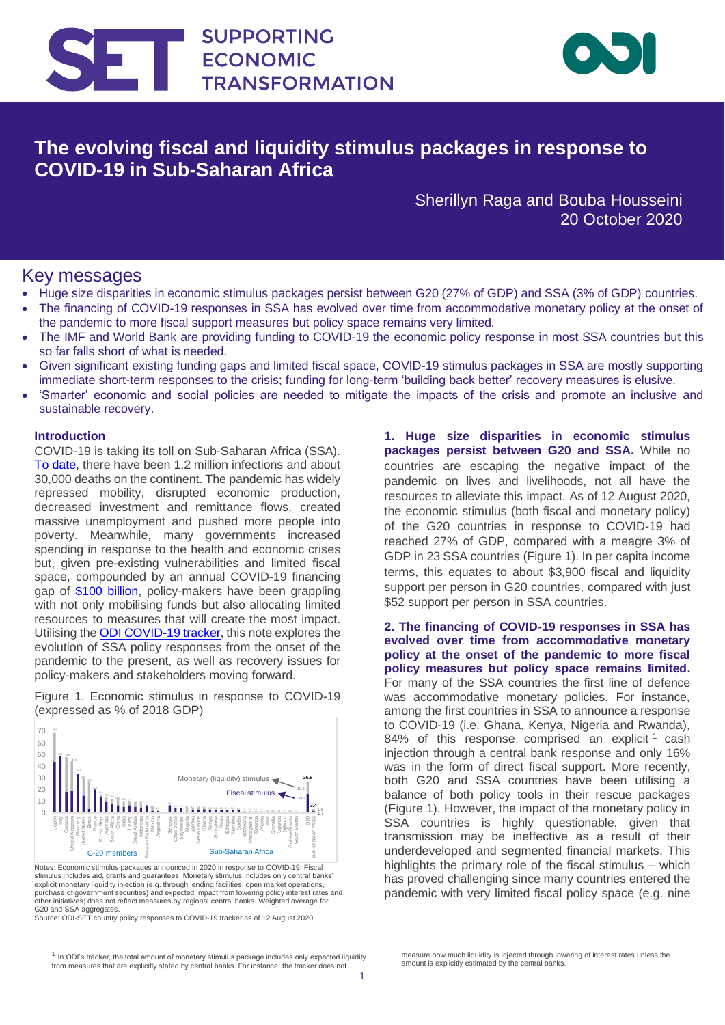



## **The evolving fiscal and liquidity stimulus packages in response to COVID-19 in Sub-Saharan Africa**

Sherillyn Raga and Bouba Housseini 20 October 2020

## Key messages

- Huge size disparities in economic stimulus packages persist between G20 (27% of GDP) and SSA (3% of GDP) countries.
- The financing of COVID-19 responses in SSA has evolved over time from accommodative monetary policy at the onset of the pandemic to more fiscal support measures but policy space remains very limited.
- The IMF and World Bank are providing funding to COVID-19 the economic policy response in most SSA countries but this so far falls short of what is needed.
- Given significant existing funding gaps and limited fiscal space, COVID-19 stimulus packages in SSA are mostly supporting immediate short-term responses to the crisis; funding for long-term 'building back better' recovery measures is elusive.
- 'Smarter' economic and social policies are needed to mitigate the impacts of the crisis and promote an inclusive and sustainable recovery.

## **Introduction**

COVID-19 is taking its toll on Sub-Saharan Africa (SSA). [To date,](https://www.who.int/emergencies/diseases/novel-coronavirus-2019/situation-reports) there have been 1.2 million infections and about 30,000 deaths on the continent. The pandemic has widely repressed mobility, disrupted economic production, decreased investment and remittance flows, created massive unemployment and pushed more people into poverty. Meanwhile, many governments increased spending in response to the health and economic crises but, given pre-existing vulnerabilities and limited fiscal space, compounded by an annual COVID-19 financing gap of [\\$100 billion,](https://www.uneca.org/blogs/unfinished-agenda-financing-africa%E2%80%99s-covid-19-response) policy-makers have been grappling with not only mobilising funds but also allocating limited resources to measures that will create the most impact. Utilising the [ODI COVID-19 tracker,](https://set.odi.org/coronavirus-economic-vulnerability-economic-impact-and-economic-policy-response-tracker/) this note explores the evolution of SSA policy responses from the onset of the pandemic to the present, as well as recovery issues for policy-makers and stakeholders moving forward.

 $\mathbb{S}^1$ ng November 2019  $\mathbb{S}^1$ ng November 2019  $\mathbb{S}^1$ 

Figure 1. Economic stimulus in response to COVID-19 (expressed as % of 2018 GDP)



Notes: Economic stimulus packages announced in 2020 in response to COVID-19. Fiscal stimulus includes aid, grants and guarantees. Monetary stimulus includes only central banks' explicit monetary liquidity injection (e.g. through lending facilities, open market operations, purchase of government securities) and expected impact from lowering policy interest rates and other initiatives; does not reflect measures by regional central banks. Weighted average for G20 and SSA aggregates.

Source: ODI-SET country policy responses to COVID-19 tracker as of 12 August 2020

**1. Huge size disparities in economic stimulus packages persist between G20 and SSA.** While no countries are escaping the negative impact of the pandemic on lives and livelihoods, not all have the resources to alleviate this impact. As of 12 August 2020, the economic stimulus (both fiscal and monetary policy) of the G20 countries in response to COVID-19 had reached 27% of GDP, compared with a meagre 3% of GDP in 23 SSA countries (Figure 1). In per capita income terms, this equates to about \$3,900 fiscal and liquidity support per person in G20 countries, compared with just \$52 support per person in SSA countries.

**2. The financing of COVID-19 responses in SSA has evolved over time from accommodative monetary policy at the onset of the pandemic to more fiscal policy measures but policy space remains limited.** For many of the SSA countries the first line of defence was accommodative monetary policies. For instance, among the first countries in SSA to announce a response to COVID-19 (i.e. Ghana, Kenya, Nigeria and Rwanda), 84% of this response comprised an explicit<sup>1</sup> cash injection through a central bank response and only 16% was in the form of direct fiscal support. More recently, both G20 and SSA countries have been utilising a balance of both policy tools in their rescue packages (Figure 1). However, the impact of the monetary policy in SSA countries is highly questionable, given that transmission may be ineffective as a result of their underdeveloped and segmented financial markets. This highlights the primary role of the fiscal stimulus – which has proved challenging since many countries entered the pandemic with very limited fiscal policy space (e.g. nine

measure how much liquidity is injected through lowering of interest rates unless the amount is explicitly estimated by the central banks.

 $1$  In ODI's tracker, the total amount of monetary stimulus package includes only expected liquidity from measures that are explicitly stated by central banks. For instance, the tracker does not